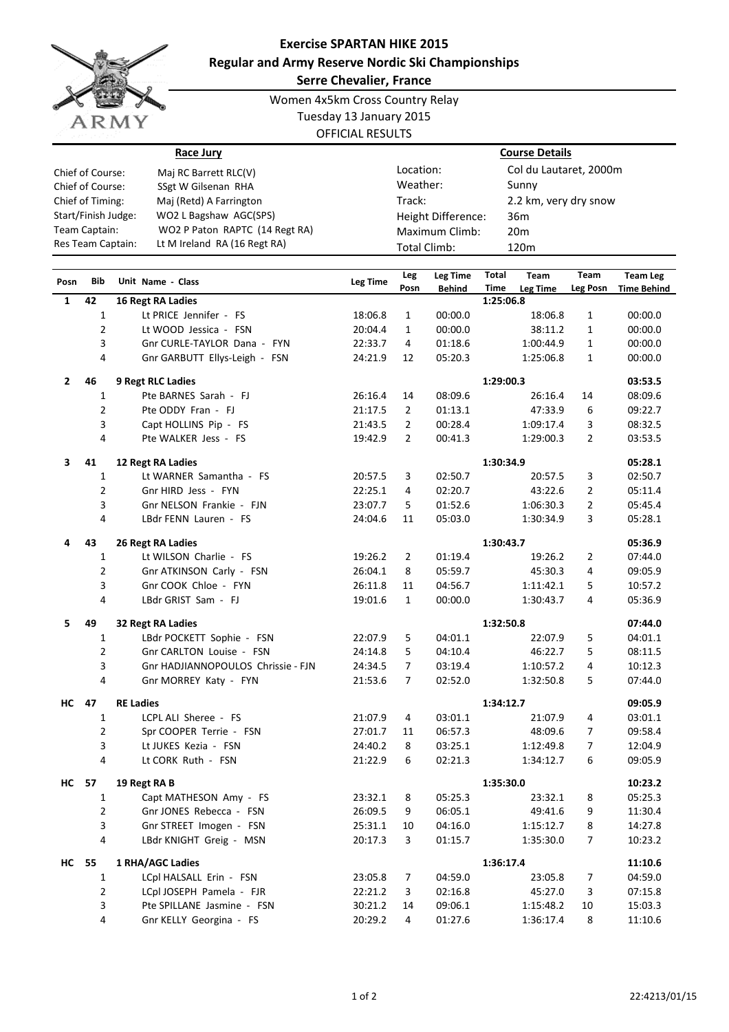

## **Exercise SPARTAN HIKE 2015 Regular and Army Reserve Nordic Ski Championships**

**Serre Chevalier, France**

Women 4x5km Cross Country Relay Tuesday 13 January 2015

OFFICIAL RESULTS

|                     | Race Jury                      |                    | <b>Course Details</b>           |  |  |  |
|---------------------|--------------------------------|--------------------|---------------------------------|--|--|--|
| Chief of Course:    | Maj RC Barrett RLC(V)          | Location:          | Col du Lautaret, 2000m<br>Sunny |  |  |  |
| Chief of Course:    | SSgt W Gilsenan RHA            | Weather:           |                                 |  |  |  |
| Chief of Timing:    | Maj (Retd) A Farrington        | Track:             | 2.2 km, very dry snow           |  |  |  |
| Start/Finish Judge: | WO2 L Bagshaw AGC(SPS)         | Height Difference: | 36 <sub>m</sub>                 |  |  |  |
| Team Captain:       | WO2 P Paton RAPTC (14 Regt RA) | Maximum Climb:     | 20 <sub>m</sub>                 |  |  |  |
| Res Team Captain:   | Lt M Ireland RA (16 Regt RA)   | Total Climb:       | 120 <sub>m</sub>                |  |  |  |

| Posn         | <b>Bib</b>     | Unit Name - Class                  | <b>Leg Time</b> | Leg            | Leg Time      | Total     | Team      | Team           | <b>Team Leg</b>    |
|--------------|----------------|------------------------------------|-----------------|----------------|---------------|-----------|-----------|----------------|--------------------|
|              |                |                                    |                 | Posn           | <b>Behind</b> | Time      | Leg Time  | Leg Posn       | <b>Time Behind</b> |
| 1            | 42             | 16 Regt RA Ladies                  |                 |                |               | 1:25:06.8 |           |                |                    |
|              | 1              | Lt PRICE Jennifer - FS             | 18:06.8         | 1              | 00:00.0       |           | 18:06.8   | 1              | 00:00.0            |
|              | $\overline{2}$ | Lt WOOD Jessica - FSN              | 20:04.4         | 1              | 00:00.0       |           | 38:11.2   | 1              | 00:00.0            |
|              | 3              | Gnr CURLE-TAYLOR Dana - FYN        | 22:33.7         | 4              | 01:18.6       |           | 1:00:44.9 | 1              | 00:00.0            |
|              | 4              | Gnr GARBUTT Ellys-Leigh - FSN      | 24:21.9         | 12             | 05:20.3       |           | 1:25:06.8 | 1              | 00:00.0            |
| $\mathbf{2}$ | 46             | <b>9 Regt RLC Ladies</b>           |                 |                |               | 1:29:00.3 |           |                | 03:53.5            |
|              | 1              | Pte BARNES Sarah - FJ              | 26:16.4         | 14             | 08:09.6       |           | 26:16.4   | 14             | 08:09.6            |
|              | $\overline{2}$ | Pte ODDY Fran - FJ                 | 21:17.5         | $\overline{2}$ | 01:13.1       |           | 47:33.9   | 6              | 09:22.7            |
|              | 3              | Capt HOLLINS Pip - FS              | 21:43.5         | $\overline{2}$ | 00:28.4       |           | 1:09:17.4 | 3              | 08:32.5            |
|              | $\overline{4}$ | Pte WALKER Jess - FS               | 19:42.9         | $\overline{2}$ | 00:41.3       |           | 1:29:00.3 | $\overline{2}$ | 03:53.5            |
| 3            | 41             | 12 Regt RA Ladies                  |                 |                |               | 1:30:34.9 |           |                | 05:28.1            |
|              | 1              | Lt WARNER Samantha - FS            | 20:57.5         | 3              | 02:50.7       |           | 20:57.5   | 3              | 02:50.7            |
|              | $\overline{2}$ | Gnr HIRD Jess - FYN                | 22:25.1         | 4              | 02:20.7       |           | 43:22.6   | $\overline{2}$ | 05:11.4            |
|              | 3              | Gnr NELSON Frankie - FJN           | 23:07.7         | 5              | 01:52.6       |           | 1:06:30.3 | $\overline{2}$ | 05:45.4            |
|              | 4              | LBdr FENN Lauren - FS              | 24:04.6         | 11             | 05:03.0       |           | 1:30:34.9 | 3              | 05:28.1            |
| 4            | 43             | 26 Regt RA Ladies                  |                 |                |               | 1:30:43.7 |           |                | 05:36.9            |
|              | 1              | Lt WILSON Charlie - FS             | 19:26.2         | 2              | 01:19.4       |           | 19:26.2   | 2              | 07:44.0            |
|              | $\overline{2}$ | Gnr ATKINSON Carly - FSN           | 26:04.1         | 8              | 05:59.7       |           | 45:30.3   | 4              | 09:05.9            |
|              | 3              | Gnr COOK Chloe - FYN               | 26:11.8         | 11             | 04:56.7       |           | 1:11:42.1 | 5              | 10:57.2            |
|              | 4              | LBdr GRIST Sam - FJ                | 19:01.6         | $\mathbf{1}$   | 00:00.0       |           | 1:30:43.7 | 4              | 05:36.9            |
| 5            | 49             | 32 Regt RA Ladies                  |                 |                |               | 1:32:50.8 |           |                | 07:44.0            |
|              | 1              | LBdr POCKETT Sophie - FSN          | 22:07.9         | 5              | 04:01.1       |           | 22:07.9   | 5              | 04:01.1            |
|              | $\overline{2}$ | Gnr CARLTON Louise - FSN           | 24:14.8         | 5              | 04:10.4       |           | 46:22.7   | 5              | 08:11.5            |
|              | 3              | Gnr HADJIANNOPOULOS Chrissie - FJN | 24:34.5         | $\overline{7}$ | 03:19.4       |           | 1:10:57.2 | 4              | 10:12.3            |
|              | 4              | Gnr MORREY Katy - FYN              | 21:53.6         | 7              | 02:52.0       |           | 1:32:50.8 | 5              | 07:44.0            |
| НC           | 47             | <b>RE Ladies</b>                   |                 |                |               | 1:34:12.7 |           |                | 09:05.9            |
|              | $\mathbf{1}$   | LCPL ALI Sheree - FS               | 21:07.9         | 4              | 03:01.1       |           | 21:07.9   | 4              | 03:01.1            |
|              | $\overline{2}$ | Spr COOPER Terrie - FSN            | 27:01.7         | 11             | 06:57.3       |           | 48:09.6   | 7              | 09:58.4            |
|              | 3              | Lt JUKES Kezia - FSN               | 24:40.2         | 8              | 03:25.1       |           | 1:12:49.8 | $\overline{7}$ | 12:04.9            |
|              | 4              | Lt CORK Ruth - FSN                 | 21:22.9         | 6              | 02:21.3       |           | 1:34:12.7 | 6              | 09:05.9            |
| НC           | 57             | 19 Regt RA B                       |                 |                |               | 1:35:30.0 |           |                | 10:23.2            |
|              | 1              | Capt MATHESON Amy - FS             | 23:32.1         | 8              | 05:25.3       |           | 23:32.1   | 8              | 05:25.3            |
|              | $\overline{2}$ | Gnr JONES Rebecca - FSN            | 26:09.5         | 9              | 06:05.1       |           | 49:41.6   | 9              | 11:30.4            |
|              | 3              | Gnr STREET Imogen - FSN            | 25:31.1         | 10             | 04:16.0       |           | 1:15:12.7 | 8              | 14:27.8            |
|              | 4              | LBdr KNIGHT Greig - MSN            | 20:17.3         | 3              | 01:15.7       |           | 1:35:30.0 | 7              | 10:23.2            |
| <b>HC</b> 55 |                | 1 RHA/AGC Ladies                   |                 |                |               | 1:36:17.4 |           |                | 11:10.6            |
|              | 1              | LCpl HALSALL Erin - FSN            | 23:05.8         | 7              | 04:59.0       |           | 23:05.8   | 7              | 04:59.0            |
|              | 2              | LCpl JOSEPH Pamela - FJR           | 22:21.2         | 3              | 02:16.8       |           | 45:27.0   | 3              | 07:15.8            |
|              | 3              | Pte SPILLANE Jasmine - FSN         | 30:21.2         | 14             | 09:06.1       |           | 1:15:48.2 | 10             | 15:03.3            |
|              | 4              | Gnr KELLY Georgina - FS            | 20:29.2         | 4              | 01:27.6       |           | 1:36:17.4 | 8              | 11:10.6            |